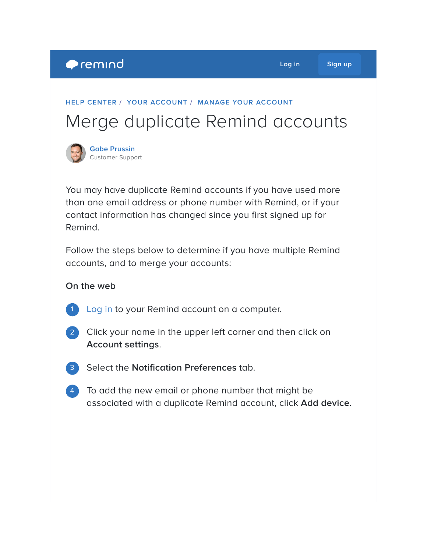## **HELP [CENTER](https://help.remind.com/hc/en-us) / YOUR [ACCOUNT](https://help.remind.com/hc/en-us/categories/115000065224-Your-account) / MANAGE YOUR [ACCOUNT](https://help.remind.com/hc/en-us/sections/115000000830-Manage-your-account)**

# Merge duplicate Remind accounts

**Gabe [Prussin](https://help.remind.com/hc/en-us/articles/360000633160-Merge-duplicate-Remind-accounts)** Customer Support

You may have duplicate Remind accounts if you have used more than one email address or phone number with Remind, or if your contact information has changed since you first signed up for Remind.

Follow the steps below to determine if you have multiple Remind accounts, and to merge your accounts:

#### **On the web**

1 [Log](https://www.remind.com/log_in) in to your Remind account on a computer.



2) Click your name in the upper left corner and then click on **Account settings**.

3 Select the **Notification Preferences** tab.

4) To add the new email or phone number that might be associated with a duplicate Remind account, click **Add device**.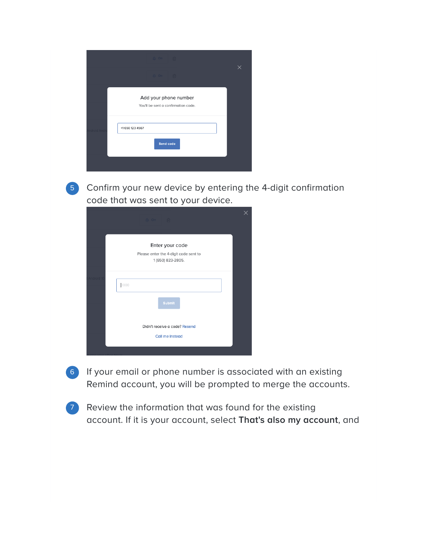|            | <b>Q On 一</b> 向                                              |   |
|------------|--------------------------------------------------------------|---|
|            | $\Omega$ On $\mathbb{R}$                                     | X |
|            | Add your phone number<br>You'll be sent a confirmation code. |   |
| ndroid And | +1 650 123 4567<br>Send code                                 |   |
|            |                                                              |   |



5 Confirm your new device by entering the 4-digit confirmation code that was sent to your device.

| <u>△</u> On fil                                                               |  |
|-------------------------------------------------------------------------------|--|
| Enter your code<br>Please enter the 4-digit code sent to<br>1 (650) 823-2805. |  |
| 0000                                                                          |  |
| <b>Submit</b>                                                                 |  |
| Didn't receive a code? Resend<br>Call me instead                              |  |
|                                                                               |  |

6) If your email or phone number is associated with an existing Remind account, you will be prompted to merge the accounts.

7 Review the information that was found for the existing account. If it is your account, select **That's also my account**, and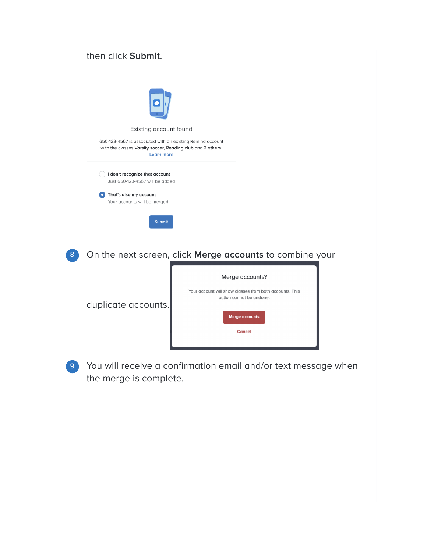## then click **Submit**.

|                        | Existing account found                                                                                                                         |  |
|------------------------|------------------------------------------------------------------------------------------------------------------------------------------------|--|
|                        | 650-123-4567 is associated with an existing Remind account<br>with the classes Varsity soccer, Reading club and 2 others.<br><b>Learn more</b> |  |
|                        | I don't recognize that account<br>Just 650-123-4567 will be added                                                                              |  |
| That's also my account | Your accounts will be merged                                                                                                                   |  |
|                        | <b>Submit</b>                                                                                                                                  |  |
|                        | On the next screen, click Merge accounts to combine your                                                                                       |  |
| duplicate accounts.    | Merge accounts?<br>Your account will show classes from both accounts. This<br>action cannot be undone.<br><b>Merge accounts</b><br>Cancel      |  |

You will receive a confirmation email and/or text message when 9the merge is complete.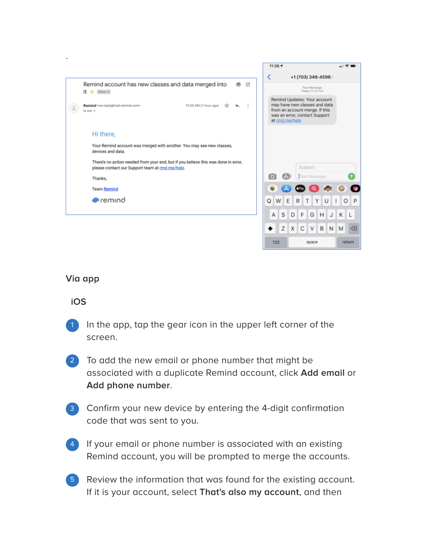

#### **Via app**

#### **iOS**

- In the app, tap the gear icon in the upper left corner of the screen. 1
- To add the new email or phone number that might be associated with a duplicate Remind account, click **Add email** or **Add phone number**. 2
- Confirm your new device by entering the 4-digit confirmation code that was sent to you. 3
- If your email or phone number is associated with an existing Remind account, you will be prompted to merge the accounts. 4
- Review the information that was found for the existing account. If it is your account, select **That's also my account**, and then 5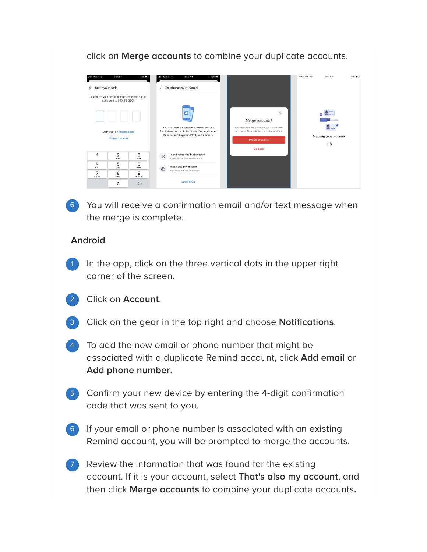click on **Merge accounts** to combine your duplicate accounts.

| nll T-Mobile 증<br>Enter your code<br>$\leftarrow$ | 3:55 PM                                                                      | $-62\%$   | • HI T-Mobile<br>$\leftarrow$                                                                                                             | 3:55 PM<br>$-62\%$<br>Existing account found                                                                                           | ●●●○○ AT&T →<br>9:41 AM | 58% <b>m</b> > |
|---------------------------------------------------|------------------------------------------------------------------------------|-----------|-------------------------------------------------------------------------------------------------------------------------------------------|----------------------------------------------------------------------------------------------------------------------------------------|-------------------------|----------------|
|                                                   | To confirm your phone number, enter the 4-digit<br>code sent to 650-213-2301 |           |                                                                                                                                           |                                                                                                                                        |                         |                |
|                                                   |                                                                              |           |                                                                                                                                           | $\times$<br>Merge accounts?                                                                                                            |                         |                |
| Didn't get it? Resend code<br>Call me instead     |                                                                              |           | 650-134-0145 is associated with an existing<br>Remind account with the classes Varsity soccer,<br>Summer reading club 2019, and 2 others. | Your account will show classes from both<br>accounts. This action cannot be undone.<br>Merging your accounts<br>Merge accounts<br>جاني |                         |                |
|                                                   |                                                                              |           |                                                                                                                                           |                                                                                                                                        | <b>Go back</b>          |                |
| 1                                                 | 2<br><b>ABC</b>                                                              | 3<br>DEF  | $\times$                                                                                                                                  | I don't recognize that account<br>Just 650-134-0145 will be added                                                                      |                         |                |
| 4<br>GHI                                          | 5<br><b>JKL</b>                                                              | 6<br>MNO  | $\triangle$                                                                                                                               | That's also my account                                                                                                                 |                         |                |
| $\overline{7}$<br>PGRS                            | 8<br>TUV                                                                     | 9<br>WXYZ |                                                                                                                                           | Your accounts will be merged                                                                                                           |                         |                |
|                                                   | $\Omega$                                                                     | $\left($  |                                                                                                                                           | Learn more                                                                                                                             |                         |                |

You will receive a confirmation email and/or text message when 6 the merge is complete.

### **Android**

- In the app, click on the three vertical dots in the upper right corner of the screen. 1
- 2 Click on **Account**.
- 3 Click on the gear in the top right and choose **Notifications**.
- 4) To add the new email or phone number that might be associated with a duplicate Remind account, click **Add email** or **Add phone number**.
- 5 Confirm your new device by entering the 4-digit confirmation code that was sent to you.
- 6) If your email or phone number is associated with an existing Remind account, you will be prompted to merge the accounts.
- 7 Review the information that was found for the existing account. If it is your account, select **That's also my account**, and then click **Merge accounts** to combine your duplicate accounts**.**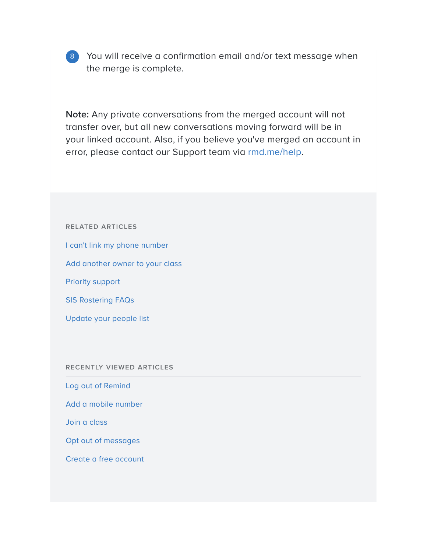

8 You will receive a confirmation email and/or text message when the merge is complete.

**Note:** Any private conversations from the merged account will not transfer over, but all new conversations moving forward will be in your linked account. Also, if you believe you've merged an account in error, please contact our Support team via [rmd.me/help](http://rmd.me/help).

# **RELATED ARTICLES** I can't link my phone [number](https://help.remind.com/hc/en-us/related/click?data=BAh7CjobZGVzdGluYXRpb25fYXJ0aWNsZV9pZGkEw7GuDDoYcmVmZXJyZXJfYXJ0aWNsZV9pZGwrCEi5tdFTADoLbG9jYWxlSSIKZW4tdXMGOgZFVDoIdXJsSSI%2BL2hjL2VuLXVzL2FydGljbGVzLzIxMjc3NTM2My1JLWNhbi10LWxpbmstbXktcGhvbmUtbnVtYmVyBjsIVDoJcmFua2kG--40d25622f876d4e1d5d0b2dea47e7fbc1e8f67d7) Add [another](https://help.remind.com/hc/en-us/related/click?data=BAh7CjobZGVzdGluYXRpb25fYXJ0aWNsZV9pZGkEM0ccDDoYcmVmZXJyZXJfYXJ0aWNsZV9pZGwrCEi5tdFTADoLbG9jYWxlSSIKZW4tdXMGOgZFVDoIdXJsSSJBL2hjL2VuLXVzL2FydGljbGVzLzIwMzE3OTgyNy1BZGQtYW5vdGhlci1vd25lci10by15b3VyLWNsYXNzBjsIVDoJcmFua2kH--3f2cce313b043c2a7e26570d64ce3730fd15298c) owner to your class Priority [support](https://help.remind.com/hc/en-us/related/click?data=BAh7CjobZGVzdGluYXRpb25fYXJ0aWNsZV9pZGwrCHTxtdFTADoYcmVmZXJyZXJfYXJ0aWNsZV9pZGwrCEi5tdFTADoLbG9jYWxlSSIKZW4tdXMGOgZFVDoIdXJsSSI1L2hjL2VuLXVzL2FydGljbGVzLzM2MDAwMDY0NzU0MC1Qcmlvcml0eS1zdXBwb3J0BjsIVDoJcmFua2kI--7e91945a11defffd23b2132ec82f013f8ccd6979) SIS [Rostering](https://help.remind.com/hc/en-us/related/click?data=BAh7CjobZGVzdGluYXRpb25fYXJ0aWNsZV9pZGwrCEclrtFTADoYcmVmZXJyZXJfYXJ0aWNsZV9pZGwrCEi5tdFTADoLbG9jYWxlSSIKZW4tdXMGOgZFVDoIdXJsSSI3L2hjL2VuLXVzL2FydGljbGVzLzM2MDAwMDEzNjUxOS1TSVMtUm9zdGVyaW5nLUZBUXMGOwhUOglyYW5raQk%3D--09a301874e6b5a07b7906c5e8f8624157c1d183f) FAQs [Update](https://help.remind.com/hc/en-us/related/click?data=BAh7CjobZGVzdGluYXRpb25fYXJ0aWNsZV9pZGwrCP%2BkstFTADoYcmVmZXJyZXJfYXJ0aWNsZV9pZGwrCEi5tdFTADoLbG9jYWxlSSIKZW4tdXMGOgZFVDoIdXJsSSI8L2hjL2VuLXVzL2FydGljbGVzLzM2MDAwMDQzMTM1OS1VcGRhdGUteW91ci1wZW9wbGUtbGlzdAY7CFQ6CXJhbmtpCg%3D%3D--314ae8f738267e076fb7f0d919b6352fd005d6a6) your people list **RECENTLY VIEWED ARTICLES** Log out of [Remind](https://help.remind.com/hc/en-us/articles/360000601270-Log-out-of-Remind) Add a mobile [number](https://help.remind.com/hc/en-us/articles/360001931499-Add-a-mobile-number) Join a [class](https://help.remind.com/hc/en-us/articles/203179887-Join-a-class) Opt out of [messages](https://help.remind.com/hc/en-us/articles/202540968-Opt-out-of-messages) Create a free [account](https://help.remind.com/hc/en-us/articles/202131933-Create-a-free-account)